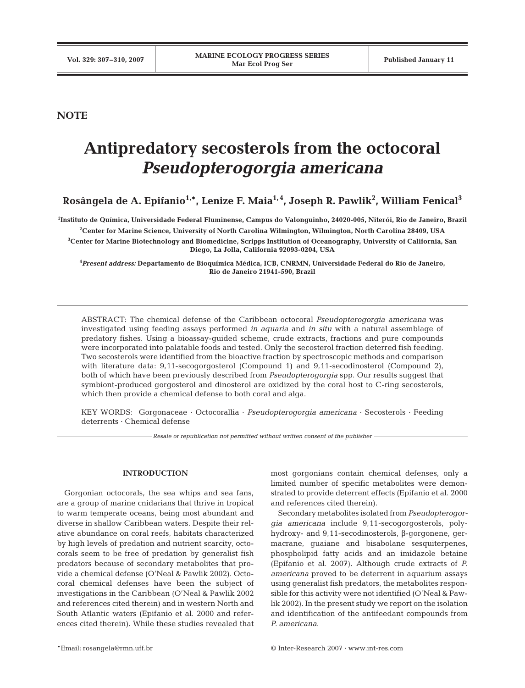# **NOTE**

# **Antipredatory secosterols from the octocoral** *Pseudopterogorgia americana*

**Rosângela de A. Epifanio1,\*, Lenize F. Maia1, 4, Joseph R. Pawlik2 , William Fenical3**

**1 Instituto de Química, Universidade Federal Fluminense, Campus do Valonguinho, 24020-005, Niterói, Rio de Janeiro, Brazil 2 Center for Marine Science, University of North Carolina Wilmington, Wilmington, North Carolina 28409, USA**

**3 Center for Marine Biotechnology and Biomedicine, Scripps Institution of Oceanography, University of California, San Diego, La Jolla, California 92093-0204, USA**

**4** *Present address:* **Departamento de Bioquímica Médica, ICB, CNRMN, Universidade Federal do Rio de Janeiro, Rio de Janeiro 21941-590, Brazil**

ABSTRACT: The chemical defense of the Caribbean octocoral *Pseudopterogorgia americana* was investigated using feeding assays performed *in aquaria* and *in situ* with a natural assemblage of predatory fishes. Using a bioassay-guided scheme, crude extracts, fractions and pure compounds were incorporated into palatable foods and tested. Only the secosterol fraction deterred fish feeding. Two secosterols were identified from the bioactive fraction by spectroscopic methods and comparison with literature data: 9,11-secogorgosterol (Compound 1) and 9,11-secodinosterol (Compound 2), both of which have been previously described from *Pseudopterogorgia* spp. Our results suggest that symbiont-produced gorgosterol and dinosterol are oxidized by the coral host to C-ring secosterols, which then provide a chemical defense to both coral and alga.

KEY WORDS: Gorgonaceae · Octocorallia · *Pseudopterogorgia americana* · Secosterols · Feeding deterrents · Chemical defense

*Resale or republication not permitted without written consent of the publisher*

## **INTRODUCTION**

Gorgonian octocorals, the sea whips and sea fans, are a group of marine cnidarians that thrive in tropical to warm temperate oceans, being most abundant and diverse in shallow Caribbean waters. Despite their relative abundance on coral reefs, habitats characterized by high levels of predation and nutrient scarcity, octocorals seem to be free of predation by generalist fish predators because of secondary metabolites that provide a chemical defense (O'Neal & Pawlik 2002). Octocoral chemical defenses have been the subject of investigations in the Caribbean (O'Neal & Pawlik 2002 and references cited therein) and in western North and South Atlantic waters (Epifanio et al. 2000 and references cited therein). While these studies revealed that most gorgonians contain chemical defenses, only a limited number of specific metabolites were demonstrated to provide deterrent effects (Epifanio et al. 2000 and references cited therein).

Secondary metabolites isolated from *Pseudopterogorgia americana* include 9,11-secogorgosterols, polyhydroxy- and 9,11-secodinosterols, β-gorgonene, germacrane, guaiane and bisabolane sesquiterpenes, phospholipid fatty acids and an imidazole betaine (Epifanio et al. 2007). Although crude extracts of *P. americana* proved to be deterrent in aquarium assays using generalist fish predators, the metabolites responsible for this activity were not identified (O'Neal & Pawlik 2002). In the present study we report on the isolation and identification of the antifeedant compounds from *P. americana*.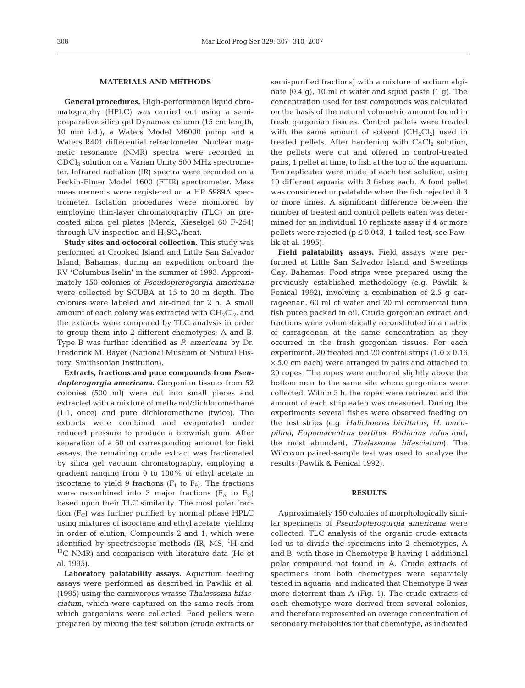#### **MATERIALS AND METHODS**

**General procedures.** High-performance liquid chromatography (HPLC) was carried out using a semipreparative silica gel Dynamax column (15 cm length, 10 mm i.d.), a Waters Model M6000 pump and a Waters R401 differential refractometer. Nuclear magnetic resonance (NMR) spectra were recorded in CDCl3 solution on a Varian Unity 500 MHz spectrometer. Infrared radiation (IR) spectra were recorded on a Perkin-Elmer Model 1600 (FTIR) spectrometer. Mass measurements were registered on a HP 5989A spectrometer. Isolation procedures were monitored by employing thin-layer chromatography (TLC) on precoated silica gel plates (Merck, Kieselgel 60 F-254) through UV inspection and  $H_2SO_4$ /heat.

**Study sites and octocoral collection.** This study was performed at Crooked Island and Little San Salvador Island, Bahamas, during an expedition onboard the RV 'Columbus Iselin' in the summer of 1993. Approximately 150 colonies of *Pseudopterogorgia americana* were collected by SCUBA at 15 to 20 m depth. The colonies were labeled and air-dried for 2 h. A small amount of each colony was extracted with  $CH_2Cl_2$ , and the extracts were compared by TLC analysis in order to group them into 2 different chemotypes: A and B. Type B was further identified as *P. americana* by Dr. Frederick M. Bayer (National Museum of Natural History, Smithsonian Institution).

**Extracts, fractions and pure compounds from** *Pseudopterogorgia americana***.** Gorgonian tissues from 52 colonies (500 ml) were cut into small pieces and extracted with a mixture of methanol/dichloromethane (1:1, once) and pure dichloromethane (twice). The extracts were combined and evaporated under reduced pressure to produce a brownish gum. After separation of a 60 ml corresponding amount for field assays, the remaining crude extract was fractionated by silica gel vacuum chromatography, employing a gradient ranging from 0 to 100% of ethyl acetate in isooctane to yield 9 fractions ( $F_1$  to  $F_9$ ). The fractions were recombined into 3 major fractions ( $F_A$  to  $F_C$ ) based upon their TLC similarity. The most polar fraction  $(F_C)$  was further purified by normal phase HPLC using mixtures of isooctane and ethyl acetate, yielding in order of elution, Compounds 2 and 1, which were identified by spectroscopic methods (IR, MS, <sup>1</sup>H and  $13C$  NMR) and comparison with literature data (He et al. 1995).

**Laboratory palatability assays.** Aquarium feeding assays were performed as described in Pawlik et al. (1995) using the carnivorous wrasse *Thalassoma bifasciatum*, which were captured on the same reefs from which gorgonians were collected. Food pellets were prepared by mixing the test solution (crude extracts or semi-purified fractions) with a mixture of sodium alginate  $(0.4 \text{ q})$ , 10 ml of water and squid paste  $(1 \text{ q})$ . The concentration used for test compounds was calculated on the basis of the natural volumetric amount found in fresh gorgonian tissues. Control pellets were treated with the same amount of solvent  $(CH_2Cl_2)$  used in treated pellets. After hardening with  $CaCl<sub>2</sub>$  solution, the pellets were cut and offered in control-treated pairs, 1 pellet at time, to fish at the top of the aquarium. Ten replicates were made of each test solution, using 10 different aquaria with 3 fishes each. A food pellet was considered unpalatable when the fish rejected it 3 or more times. A significant difference between the number of treated and control pellets eaten was determined for an individual 10 replicate assay if 4 or more pellets were rejected ( $p \le 0.043$ , 1-tailed test, see Pawlik et al. 1995).

**Field palatability assays.** Field assays were performed at Little San Salvador Island and Sweetings Cay, Bahamas. Food strips were prepared using the previously established methodology (e.g. Pawlik & Fenical 1992), involving a combination of 2.5 g carrageenan, 60 ml of water and 20 ml commercial tuna fish puree packed in oil. Crude gorgonian extract and fractions were volumetrically reconstituted in a matrix of carrageenan at the same concentration as they occurred in the fresh gorgonian tissues. For each experiment, 20 treated and 20 control strips  $(1.0 \times 0.16)$  $\times$  5.0 cm each) were arranged in pairs and attached to 20 ropes. The ropes were anchored slightly above the bottom near to the same site where gorgonians were collected. Within 3 h, the ropes were retrieved and the amount of each strip eaten was measured. During the experiments several fishes were observed feeding on the test strips (e.g. *Halichoeres bivittatus*, *H. macupilina*, *Eupomacentrus partitus*, *Bodianus rufus* and, the most abundant, *Thalassoma bifasciatum*). The Wilcoxon paired-sample test was used to analyze the results (Pawlik & Fenical 1992).

#### **RESULTS**

Approximately 150 colonies of morphologically similar specimens of *Pseudopterogorgia americana* were collected. TLC analysis of the organic crude extracts led us to divide the specimens into 2 chemotypes, A and B, with those in Chemotype B having 1 additional polar compound not found in A. Crude extracts of specimens from both chemotypes were separately tested in aquaria, and indicated that Chemotype B was more deterrent than A (Fig. 1). The crude extracts of each chemotype were derived from several colonies, and therefore represented an average concentration of secondary metabolites for that chemotype, as indicated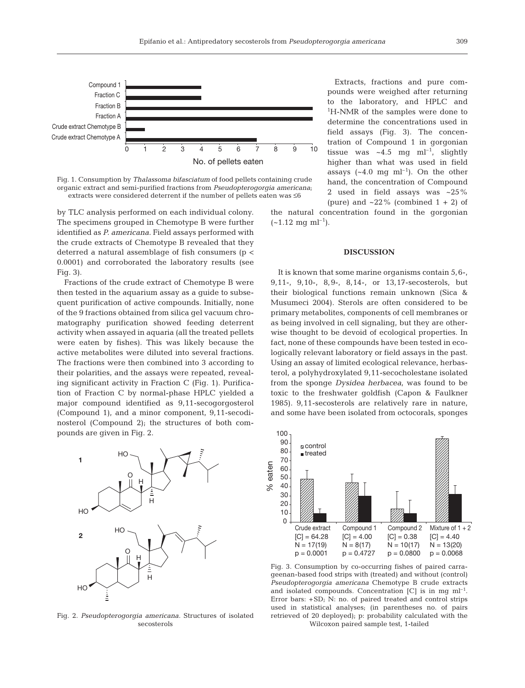

Fig. 1. Consumption by *Thalassoma bifasciatum* of food pellets containing crude organic extract and semi-purified fractions from *Pseudopterogorgia americana*; extracts were considered deterrent if the number of pellets eaten was ≤6

by TLC analysis performed on each individual colony. The specimens grouped in Chemotype B were further identified as *P. americana*. Field assays performed with the crude extracts of Chemotype B revealed that they deterred a natural assemblage of fish consumers (p < 0.0001) and corroborated the laboratory results (see Fig. 3).

Fractions of the crude extract of Chemotype B were then tested in the aquarium assay as a guide to subsequent purification of active compounds. Initially, none of the 9 fractions obtained from silica gel vacuum chromatography purification showed feeding deterrent activity when assayed in aquaria (all the treated pellets were eaten by fishes). This was likely because the active metabolites were diluted into several fractions. The fractions were then combined into 3 according to their polarities, and the assays were repeated, revealing significant activity in Fraction C (Fig. 1). Purification of Fraction C by normal-phase HPLC yielded a major compound identified as 9,11-secogorgosterol (Compound 1), and a minor component, 9,11-secodinosterol (Compound 2); the structures of both compounds are given in Fig. 2.



Fig. 2. *Pseudopterogorgia americana.* Structures of isolated secosterols

Extracts, fractions and pure compounds were weighed after returning to the laboratory, and HPLC and 1 H-NMR of the samples were done to determine the concentrations used in field assays (Fig. 3). The concentration of Compound 1 in gorgonian tissue was  $\sim 4.5$  mg ml<sup>-1</sup>, slightly higher than what was used in field assays  $({\sim}4.0 \text{ mg } \text{ml}^{-1})$ . On the other hand, the concentration of Compound 2 used in field assays was ~25% (pure) and  $\sim$  22% (combined 1 + 2) of

the natural concentration found in the gorgonian  $(-1.12 \text{ mg ml}^{-1}).$ 

### **DISCUSSION**

It is known that some marine organisms contain 5,6-, 9,11-, 9,10-, 8,9-, 8,14-, or 13,17-secosterols, but their biological functions remain unknown (Sica & Musumeci 2004). Sterols are often considered to be primary metabolites, components of cell membranes or as being involved in cell signaling, but they are otherwise thought to be devoid of ecological properties. In fact, none of these compounds have been tested in ecologically relevant laboratory or field assays in the past. Using an assay of limited ecological relevance, herbasterol, a polyhydroxylated 9,11-secocholestane isolated from the sponge *Dysidea herbacea*, was found to be toxic to the freshwater goldfish (Capon & Faulkner 1985). 9,11-secosterols are relatively rare in nature, and some have been isolated from octocorals, sponges



Fig. 3. Consumption by co-occurring fishes of paired carrageenan-based food strips with (treated) and without (control) *Pseudopterogorgia americana* Chemotype B crude extracts and isolated compounds. Concentration  $[C]$  is in mg m $]^{-1}$ . Error bars: +SD; N: no. of paired treated and control strips used in statistical analyses; (in parentheses no. of pairs retrieved of 20 deployed); p: probability calculated with the Wilcoxon paired sample test, 1-tailed